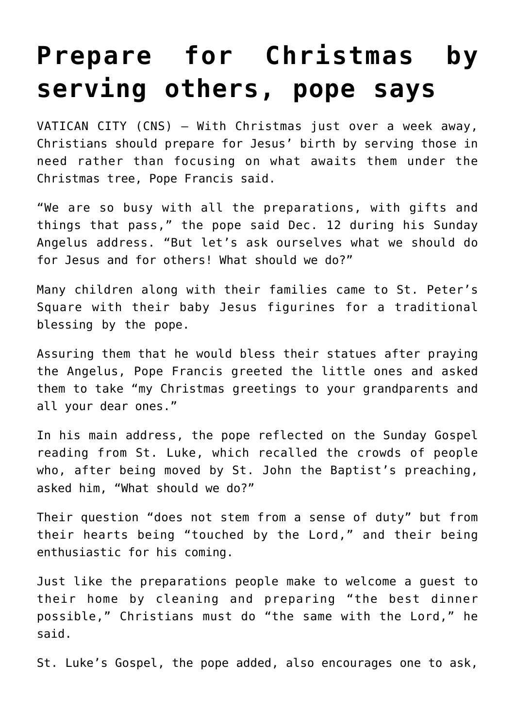## **[Prepare for Christmas by](https://www.osvnews.com/2021/12/13/prepare-for-christmas-by-serving-others-pope-says/) [serving others, pope says](https://www.osvnews.com/2021/12/13/prepare-for-christmas-by-serving-others-pope-says/)**

VATICAN CITY (CNS) — With Christmas just over a week away, Christians should prepare for Jesus' birth by serving those in need rather than focusing on what awaits them under the Christmas tree, Pope Francis said.

"We are so busy with all the preparations, with gifts and things that pass," the pope said Dec. 12 during his Sunday Angelus address. "But let's ask ourselves what we should do for Jesus and for others! What should we do?"

Many children along with their families came to St. Peter's Square with their baby Jesus figurines for a traditional blessing by the pope.

Assuring them that he would bless their statues after praying the Angelus, Pope Francis greeted the little ones and asked them to take "my Christmas greetings to your grandparents and all your dear ones."

In his main address, the pope reflected on the Sunday Gospel reading from St. Luke, which recalled the crowds of people who, after being moved by St. John the Baptist's preaching, asked him, "What should we do?"

Their question "does not stem from a sense of duty" but from their hearts being "touched by the Lord," and their being enthusiastic for his coming.

Just like the preparations people make to welcome a guest to their home by cleaning and preparing "the best dinner possible," Christians must do "the same with the Lord," he said.

St. Luke's Gospel, the pope added, also encourages one to ask,